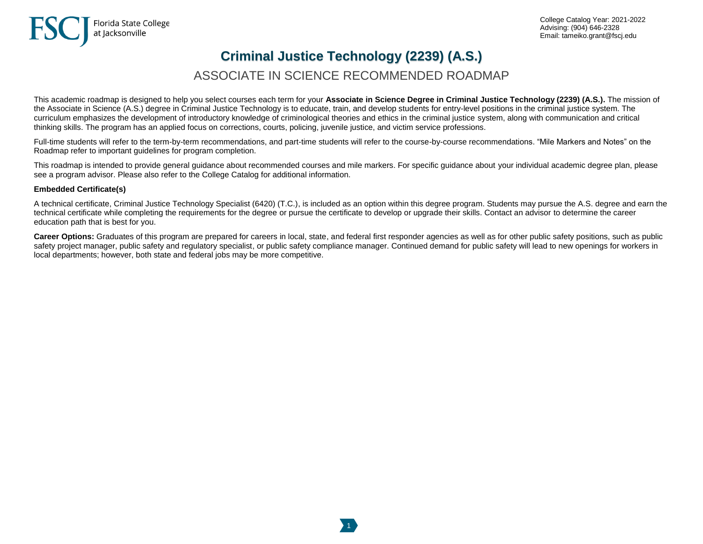# **Criminal Justice Technology (2239) (A.S.)**

## ASSOCIATE IN SCIENCE RECOMMENDED ROADMAP

This academic roadmap is designed to help you select courses each term for your **Associate in Science Degree in Criminal Justice Technology (2239) (A.S.).** The mission of the Associate in Science (A.S.) degree in Criminal Justice Technology is to educate, train, and develop students for entry-level positions in the criminal justice system. The curriculum emphasizes the development of introductory knowledge of criminological theories and ethics in the criminal justice system, along with communication and critical thinking skills. The program has an applied focus on corrections, courts, policing, juvenile justice, and victim service professions.

Full-time students will refer to the term-by-term recommendations, and part-time students will refer to the course-by-course recommendations. "Mile Markers and Notes" on the Roadmap refer to important guidelines for program completion.

This roadmap is intended to provide general guidance about recommended courses and mile markers. For specific guidance about your individual academic degree plan, please see a program advisor. Please also refer to the College Catalog for additional information.

#### **Embedded Certificate(s)**

A technical certificate, Criminal Justice Technology Specialist (6420) (T.C.), is included as an option within this degree program. Students may pursue the A.S. degree and earn the technical certificate while completing the requirements for the degree or pursue the certificate to develop or upgrade their skills. Contact an advisor to determine the career education path that is best for you.

Career Options: Graduates of this program are prepared for careers in local, state, and federal first responder agencies as well as for other public safety positions, such as public safety project manager, public safety and regulatory specialist, or public safety compliance manager. Continued demand for public safety will lead to new openings for workers in local departments; however, both state and federal jobs may be more competitive.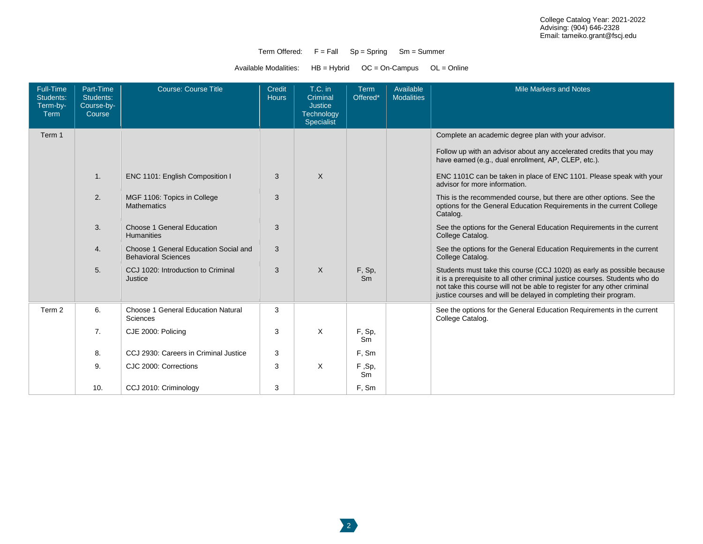#### Term Offered:  $F = Fall$   $Sp = Spring$   $Sm = Summer$

Available Modalities: HB = Hybrid OC = On-Campus OL = Online

| Full-Time<br>Students:<br>Term-by-<br>Term | Part-Time<br>Students:<br>Course-by-<br>Course | <b>Course: Course Title</b>                                         | Credit<br><b>Hours</b> | $T.C.$ in<br>Criminal<br><b>Justice</b><br>Technology<br>Specialist | <b>Term</b><br>Offered* | Available<br><b>Modalities</b> | <b>Mile Markers and Notes</b>                                                                                                                                                                                                                                                                         |
|--------------------------------------------|------------------------------------------------|---------------------------------------------------------------------|------------------------|---------------------------------------------------------------------|-------------------------|--------------------------------|-------------------------------------------------------------------------------------------------------------------------------------------------------------------------------------------------------------------------------------------------------------------------------------------------------|
| Term 1                                     |                                                |                                                                     |                        |                                                                     |                         |                                | Complete an academic degree plan with your advisor.                                                                                                                                                                                                                                                   |
|                                            |                                                |                                                                     |                        |                                                                     |                         |                                | Follow up with an advisor about any accelerated credits that you may<br>have earned (e.g., dual enrollment, AP, CLEP, etc.).                                                                                                                                                                          |
|                                            | $\mathbf{1}$ .                                 | ENC 1101: English Composition I                                     | 3                      | $\times$                                                            |                         |                                | ENC 1101C can be taken in place of ENC 1101. Please speak with your<br>advisor for more information.                                                                                                                                                                                                  |
|                                            | 2.                                             | MGF 1106: Topics in College<br><b>Mathematics</b>                   | 3                      |                                                                     |                         |                                | This is the recommended course, but there are other options. See the<br>options for the General Education Requirements in the current College<br>Catalog.                                                                                                                                             |
|                                            | 3.                                             | Choose 1 General Education<br><b>Humanities</b>                     | 3                      |                                                                     |                         |                                | See the options for the General Education Requirements in the current<br>College Catalog.                                                                                                                                                                                                             |
|                                            | 4.                                             | Choose 1 General Education Social and<br><b>Behavioral Sciences</b> | 3                      |                                                                     |                         |                                | See the options for the General Education Requirements in the current<br>College Catalog.                                                                                                                                                                                                             |
|                                            | 5.                                             | CCJ 1020: Introduction to Criminal<br>Justice                       | 3                      | $\times$                                                            | F, Sp,<br>Sm            |                                | Students must take this course (CCJ 1020) as early as possible because<br>it is a prerequisite to all other criminal justice courses. Students who do<br>not take this course will not be able to register for any other criminal<br>justice courses and will be delayed in completing their program. |
| Term 2                                     | 6.                                             | Choose 1 General Education Natural<br><b>Sciences</b>               | 3                      |                                                                     |                         |                                | See the options for the General Education Requirements in the current<br>College Catalog.                                                                                                                                                                                                             |
|                                            | 7.                                             | CJE 2000: Policing                                                  | 3                      | X                                                                   | F, Sp,<br>Sm            |                                |                                                                                                                                                                                                                                                                                                       |
|                                            | 8.                                             | CCJ 2930: Careers in Criminal Justice                               | 3                      |                                                                     | F, Sm                   |                                |                                                                                                                                                                                                                                                                                                       |
|                                            | 9.                                             | CJC 2000: Corrections                                               | 3                      | $\times$                                                            | F,Sp,<br><b>Sm</b>      |                                |                                                                                                                                                                                                                                                                                                       |
|                                            | 10.                                            | CCJ 2010: Criminology                                               | 3                      |                                                                     | F. Sm                   |                                |                                                                                                                                                                                                                                                                                                       |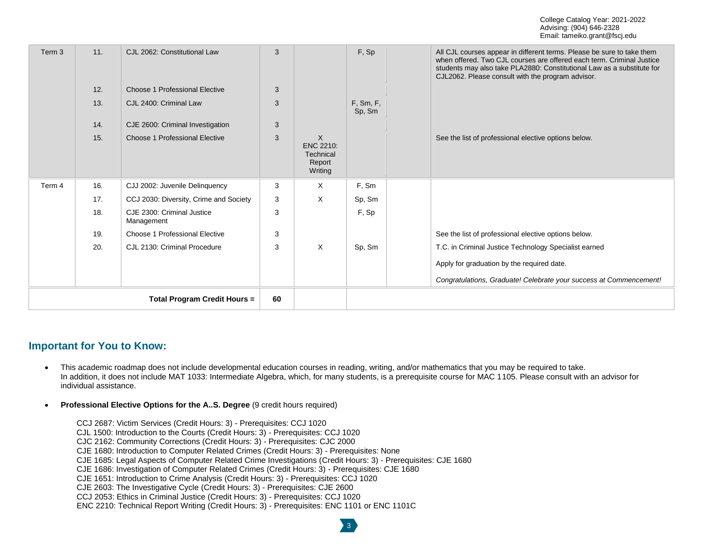| Term 3                              | 11. | CJL 2062: Constitutional Law             | 3  |                                                         | F, Sp               | All CJL courses appear in different terms. Please be sure to take them<br>when offered. Two CJL courses are offered each term. Criminal Justice<br>students may also take PLA2880: Constitutional Law as a substitute for<br>CJL2062. Please consult with the program advisor. |
|-------------------------------------|-----|------------------------------------------|----|---------------------------------------------------------|---------------------|--------------------------------------------------------------------------------------------------------------------------------------------------------------------------------------------------------------------------------------------------------------------------------|
|                                     | 12. | Choose 1 Professional Elective           | 3  |                                                         |                     |                                                                                                                                                                                                                                                                                |
|                                     | 13. | CJL 2400: Criminal Law                   | 3  |                                                         | F, Sm, F,<br>Sp, Sm |                                                                                                                                                                                                                                                                                |
|                                     | 14. | CJE 2600: Criminal Investigation         | 3  |                                                         |                     |                                                                                                                                                                                                                                                                                |
|                                     | 15. | Choose 1 Professional Elective           | 3  | $\times$<br>ENC 2210:<br>Technical<br>Report<br>Writing |                     | See the list of professional elective options below.                                                                                                                                                                                                                           |
| Term 4                              | 16. | CJJ 2002: Juvenile Delinquency           | 3  | X                                                       | F, Sm               |                                                                                                                                                                                                                                                                                |
|                                     | 17. | CCJ 2030: Diversity, Crime and Society   | 3  | X                                                       | Sp, Sm              |                                                                                                                                                                                                                                                                                |
|                                     | 18. | CJE 2300: Criminal Justice<br>Management | 3  |                                                         | F, Sp               |                                                                                                                                                                                                                                                                                |
|                                     | 19. | Choose 1 Professional Elective           | 3  |                                                         |                     | See the list of professional elective options below.                                                                                                                                                                                                                           |
|                                     | 20. | CJL 2130: Criminal Procedure             | 3  | $\times$                                                | Sp, Sm              | T.C. in Criminal Justice Technology Specialist earned                                                                                                                                                                                                                          |
|                                     |     |                                          |    |                                                         |                     | Apply for graduation by the required date.                                                                                                                                                                                                                                     |
|                                     |     |                                          |    |                                                         |                     | Congratulations, Graduate! Celebrate your success at Commencement!                                                                                                                                                                                                             |
| <b>Total Program Credit Hours =</b> |     |                                          | 60 |                                                         |                     |                                                                                                                                                                                                                                                                                |

### **Important for You to Know:**

• This academic roadmap does not include developmental education courses in reading, writing, and/or mathematics that you may be required to take. In addition, it does not include MAT 1033: Intermediate Algebra, which, for many students, is a prerequisite course for MAC 1105. Please consult with an advisor for individual assistance.

3

- **Professional Elective Options for the A..S. Degree** (9 credit hours required)
	- CCJ 2687: Victim Services (Credit Hours: 3) Prerequisites: CCJ 1020
	- CJL 1500: Introduction to the Courts (Credit Hours: 3) Prerequisites: CCJ 1020
	- CJC 2162: Community Corrections (Credit Hours: 3) Prerequisites: CJC 2000
	- CJE 1680: Introduction to Computer Related Crimes (Credit Hours: 3) Prerequisites: None
	- CJE 1685: Legal Aspects of Computer Related Crime Investigations (Credit Hours: 3) Prerequisites: CJE 1680
	- CJE 1686: Investigation of Computer Related Crimes (Credit Hours: 3) Prerequisites: CJE 1680
	- CJE 1651: Introduction to Crime Analysis (Credit Hours: 3) Prerequisites: CCJ 1020
	- CJE 2603: The Investigative Cycle (Credit Hours: 3) Prerequisites: CJE 2600
	- CCJ 2053: Ethics in Criminal Justice (Credit Hours: 3) Prerequisites: CCJ 1020
	- ENC 2210: Technical Report Writing (Credit Hours: 3) Prerequisites: ENC 1101 or ENC 1101C